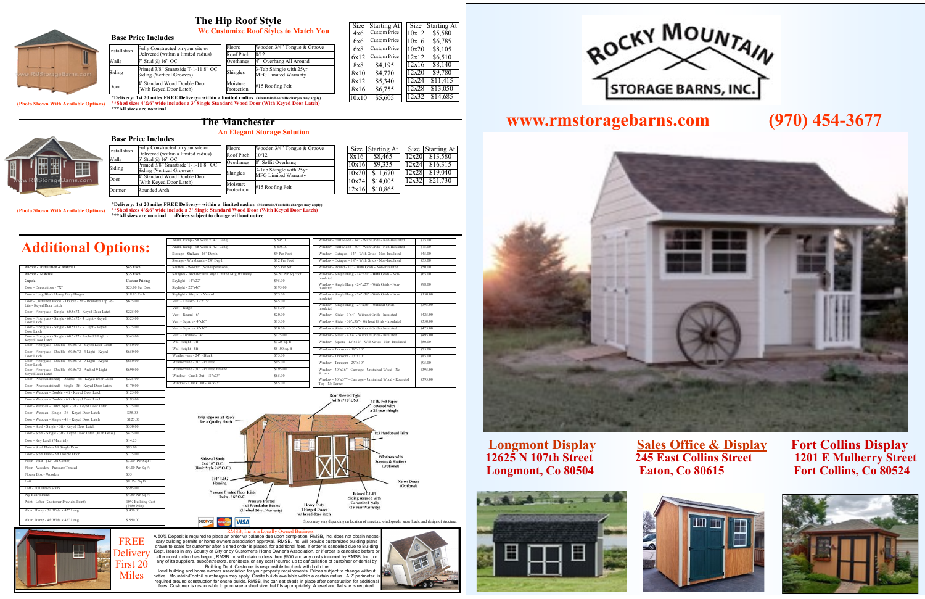# **www.rmstoragebarns.com (970) 454-3677**



**Longmont Display 50 Sales Office & Display Fort Collins Display<br>12625 N 107th Street 245 East Collins Street 1201 E Mulberry Street Longmont, Co 80504 Eaton, Co 80615 Fort Collins, Co 80524**

- 0





# **1201 E Mulberry Street**



FREE

Miles

**The Manchester**

- 5ft Wide x 42" Long \$ 595.00  $\lambda$ lum. Ramp - 6ft Wide x 42" Long  $\leq 695.00$ 

| ally Constructed on your site or                      | Floors     | Wooden 3/4" Tongue & Groove |
|-------------------------------------------------------|------------|-----------------------------|
| elivered (within a limited radius)                    | Roof Pitch | 10/12                       |
| Stud $(a)$ 16" OC<br>imed 3/8" Smartside T-1-11 8" OC | Overhangs  | 8" Soffit Overhang          |
| ding (Vertical Grooves)                               | Shingles   | 3-Tab Shingle with 25yr     |
| Standard Wood Double Door                             |            | <b>MFG Limited Warranty</b> |
| Vith Keyed Door Latch)                                | Moisture   |                             |
| ounded Arch                                           | Protection | #15 Roofing Felt            |

\$9 Per Foot \$12 Per Foot \$55 Per Set \$4.50 Per Sq

 $$3.25$  sq.

**An Elegant Storage Solution**





| Size  | Starting At | Size  | <b>Starting At</b> |  |
|-------|-------------|-------|--------------------|--|
| 8x16  | \$8,465     | 12x20 | \$13,580           |  |
| 10x16 | \$9,335     | 12x24 | \$16,315           |  |
| 10x20 | \$11,670    | 12x28 | \$19,040           |  |
| 10x24 | \$14,005    | 12x32 | \$21,730           |  |
| 12x16 | \$10,865    |       |                    |  |
|       |             |       |                    |  |

**\*Delivery: 1st 20 miles FREE Delivery– within a limited radius (Mountain/Foothills charges may apply) \*\*Shed sizes 4'&6' wide include a 3' Single Standard Wood Door (With Keyed Door Latch) \*\*\*All sizes are nominal -Prices subject to change without notice (Photo Shown With Available Options)**

> Skylight - 14"x22" \$95.00 Skylight - 22"x46" \$195.00  $\frac{1}{50}$ sq.in. - Vented  $\frac{1}{50}$ Vent - Classic - 12"x15" \$45.00 Vent - Ridge \$15.00  $\sqrt{\text{ent}}$  - Round - 6"  $\sqrt{\text{S20.00}}$ Vent - Square -  $4"x16"$  \$15.00 Vent - Square -  $8"x16"$  \$20.00 Vent - Turbine - 14" \$125.00

Wall Height -  $8f$ t  $$5.00$  sq. Weathervane - 24" - Black  $$75.00$  $Weather vane = 30" = Painted$  \$95.00



| Anchor - Installation & Material                                                   | \$45 Each                        |
|------------------------------------------------------------------------------------|----------------------------------|
| Anchor - Material                                                                  | \$35 Each                        |
| Cupola                                                                             | <b>Custom Pricing</b>            |
| Door - Decorations - "X"                                                           | \$25.00 Per Door                 |
| Door - Long Black Heavy Duty Hinges                                                | \$18.95 Each                     |
| Door - Unstained Wood - Double - 5ft - Rounded Top - 6-<br>Lite - Keyed Door Latch | \$625.00                         |
| Door - Fiberglass - Single - 60.5x72 - Keyed Door Latch                            | \$225.00                         |
| Door - Fiberglass - Single - 60.5x72 - 4 Light - Keyed<br>Door Latch               | \$325.00                         |
| Door - Fiberglass - Single - 60.5x72 - 9 Light - Keyed<br>Door Latch               | \$325.00                         |
| Door - Fiberglass - Single - 60.5x72 - Arched 9 Light -<br>Keyed Door Latch        | \$345.00                         |
| Door - Fiberglass - Double - 60.5x72 - Keyed Door Latch                            | \$450.00                         |
| Door - Fiberglass - Double - 60.5x72 - 4 Light - Keyed<br>Door Latch               | \$650.00                         |
| Door - Fiberglass - Double - 60.5x72 - 9 Light - Keyed<br>Door Latch               | \$650.00                         |
| Door - Fiberglass - Double - 60.5x72 - Arched 9 Light -<br>Keyed Door Latch        | \$690.00                         |
| Door - Pine (unstained) - Double - 4ft - Keyed Door Latch                          | \$225.00                         |
| Door - Pine (unstained) - Single - 3ft - Keyed Door Latch                          | \$170.00                         |
| Door - Wooden - Double - 4ft - Keyed Door Latch                                    | \$125.00                         |
| Door - Wooden - Double - 6ft - Keyed Door Latch                                    | \$195.00                         |
| Door - Wooden - Dutch Split - 3ft - Keyed Door Latch                               | \$125.00                         |
| Door - Wooden - Single - 3ft - Keyed Door Latch                                    | \$95.00                          |
| Door - Wooden - Single - 4ft - Keyed Door Latch                                    | \$125.00                         |
| Door - Steel - Single - 3ft - Keyed Door Latch                                     | \$350.00                         |
| Door - Steel - Single - 3ft - Keyed Door Latch (With Glass)                        | \$425.00                         |
| Door - Key Latch (Material)                                                        | \$14.25                          |
| Door - Steel Plate - 3ft Single Door                                               | \$95.00                          |
| Door - Steel Plate - 5ft Double Door                                               | \$175.00                         |
| Floor - Joist - (12" On Center)                                                    | \$3.00 Per Sq Ft                 |
| Floor - Wooden - Pressure Treated                                                  | \$4.00 Per Sq Ft                 |
| Flower Box - Wooden                                                                | \$55                             |
| I <sub>of</sub>                                                                    | \$8 Per Sq Ft                    |
| Loft - Pull Down Stairs                                                            | \$595.00                         |
| Peg Board Panel                                                                    | \$4.50 Per Sq Ft                 |
| Paint - Labor (Customer Provides Paint)                                            | 10% Building Cost                |
| Alum. Ramp - 3ft Wide x 42" Long                                                   | $(S450 \text{ Min})$<br>\$450.00 |
| Alum. Ramp - 4ft Wide x 42" Long                                                   | \$550.00                         |

Delivery First 20 RMSB, Inc is a Locally Owned Business<br>A 50% Deposit is required to place an order w/ balance due upon completion. RMSB, Inc. does not obtain neces-<br>sary building permits or home owners association approval. RMSB, Inc. will Dept. issues in any County or City or by Customer's Home Owner's Association, or if order is cancelled before or after construction has begun, RMSB Inc will retain no less then \$500 and any costs incurred by RMSB, Inc., or any of its suppliers, subcontractors, architects, or any cost incurred up to cancellation of customer or denial by Building Dept. Customer is responsible to check with both the

local building and home owners association for your property requirements. Prices subject to change without<br>notice. Mountain/Foothill surcharges may apply. Onsite builds available within a certain radius. A 2' perimeter fees. Customer is responsible to purchase a shed size that fits appropriately. A level and flat site is required.





 $\frac{\text{Size}}{4 \times 6}$  Custom Price Custom Price 6x6 Custom Price 6x8 Custom Price 6x12 Custom Price 8x8 \$4,195  $8x10$  \$4,770  $8x12$  \$5,340 8x16 \$6,755 10x10 \$5,605

Size Starting At  $10x12$  \$5,580 10x16 \$6,785 10x20 \$8,105  $\frac{12x12}{12x16}$  \$6,510<br>12x16 \$8,140  $$8,140$ 

 $\frac{12x20}{12x24}$  \$9,780  $$11,415$ 12x28 \$13,050

**imited radius** (Mountain/Foothills charges may apply)  $\frac{10x10}{s5,605}$   $\frac{12x32}{s14,685}$ **\*\*Shed sizes 4'&6' wide includes a 3' Single Standard Wood Door (With Keyed Door Latch) \*\*\*All sizes are nominal (Photo Shown With Available Options)**

### Fully Constructed on your site or **Base Price Includes**

**Additional Options:**

# **The Hip Roof Style**

| installation | Delivered (within a limited radius)                                                       | Roof Pitch             | 8/12                                                   |
|--------------|-------------------------------------------------------------------------------------------|------------------------|--------------------------------------------------------|
| Walls        | 7' Stud @ 16" OC                                                                          | Overhangs              | 4" Overhang All Around                                 |
| Siding       | Primed 3/8" Smartside T-1-11 8" OC<br>Siding (Vertical Grooves)                           | Shingles               | 3-Tab Shingle with 25yr<br><b>MFG Limited Warranty</b> |
| Door         | 4' Standard Wood Double Door<br>(With Keyed Door Latch)                                   | Moisture<br>Protection | #15 Roofing Felt                                       |
|              | *Delivery: 1st 20 miles EDFF Delivery within a limited rading atoms: (Feetille shapes may |                        |                                                        |

Floors Wooden 3/4" Tongue & Groove



**We Customize Roof Styles to Match You** 

Window - Single Hung - 14"x21" - With Grids - Non-

Insulated

\$65.00

Window - Single Hung - 24"x27" - With Grids - Non-

Insulated

\$98.00

Window - Single Hung - 24"x36" - With Grids - Non-

Insulated

\$150.00

Window - Single Hung - 24"x36" - Without Grids -

Insulated

\$395.00

Window - Half Moon - 14" - With Grids - Non-Insulated \$75.00 Window - Half Moon - 30" - With Grids - Non-Insulated \$75.00 Window - Octagon - 14" - With Grids - Non-Insulated \$45.00 Window - Octagon - 18" - With Grids - Non-Insulated \$55.00 Window - Round - 10" - With Grids - Non-Insulated \$50.00

Window - Slider - 3`x4` - Without Grids - Insulated \$425.00 Window - Slider - 36"x36" - Without Grids - Insulated \$350.00 Window - Slider - 4`x3` - Without Grids - Insulated \$425.00 Window - Slider - 4`x4` - Without Grids - Insulated \$495.00 Window - Square - 12"x12" - With Grids - Non-Insulated \$50.00 Window - Transom - 18"x10" \$75.00 Window - Transom - 23"x10" \$85.00 Window - Transom - 29"x10" \$95.00